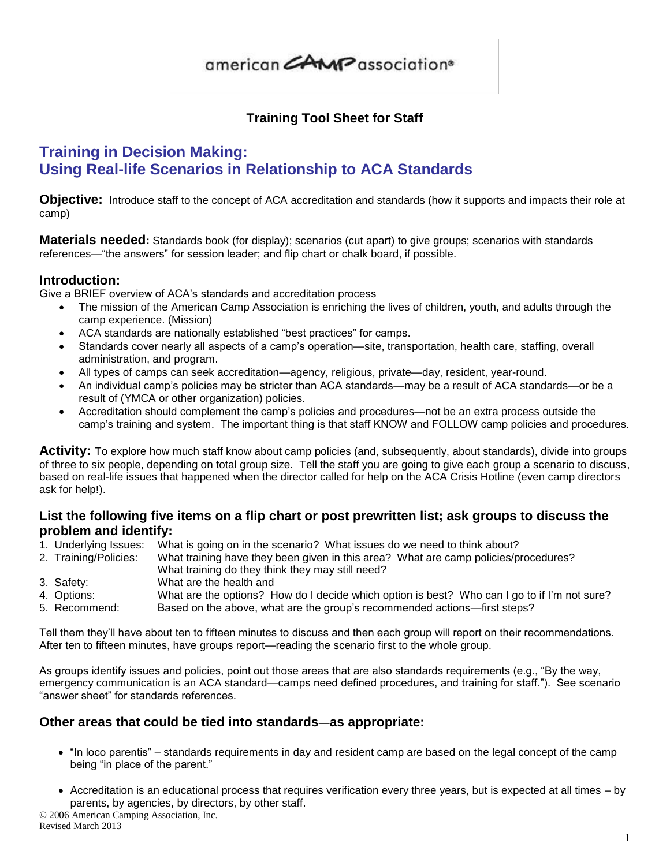## **Training Tool Sheet for Staff**

## **Training in Decision Making: Using Real-life Scenarios in Relationship to ACA Standards**

**Objective:** Introduce staff to the concept of ACA accreditation and standards (how it supports and impacts their role at camp)

**Materials needed:** Standards book (for display); scenarios (cut apart) to give groups; scenarios with standards references—"the answers" for session leader; and flip chart or chalk board, if possible.

#### **Introduction:**

Give a BRIEF overview of ACA's standards and accreditation process

- The mission of the American Camp Association is enriching the lives of children, youth, and adults through the camp experience. (Mission)
- ACA standards are nationally established "best practices" for camps.
- Standards cover nearly all aspects of a camp's operation—site, transportation, health care, staffing, overall administration, and program.
- All types of camps can seek accreditation—agency, religious, private—day, resident, year-round.
- An individual camp's policies may be stricter than ACA standards—may be a result of ACA standards—or be a result of (YMCA or other organization) policies.
- Accreditation should complement the camp's policies and procedures—not be an extra process outside the camp's training and system. The important thing is that staff KNOW and FOLLOW camp policies and procedures.

**Activity:** To explore how much staff know about camp policies (and, subsequently, about standards), divide into groups of three to six people, depending on total group size. Tell the staff you are going to give each group a scenario to discuss, based on real-life issues that happened when the director called for help on the ACA Crisis Hotline (even camp directors ask for help!).

#### **List the following five items on a flip chart or post prewritten list; ask groups to discuss the problem and identify:**

- 1. Underlying Issues: What is going on in the scenario? What issues do we need to think about?
- 2. Training/Policies: What training have they been given in this area? What are camp policies/procedures? What training do they think they may still need?
- 3. Safety: What are the health and
- 4. Options: What are the options? How do I decide which option is best? Who can I go to if I'm not sure?
- 5. Recommend: Based on the above, what are the group's recommended actions—first steps?

Tell them they'll have about ten to fifteen minutes to discuss and then each group will report on their recommendations. After ten to fifteen minutes, have groups report—reading the scenario first to the whole group.

As groups identify issues and policies, point out those areas that are also standards requirements (e.g., "By the way, emergency communication is an ACA standard—camps need defined procedures, and training for staff."). See scenario "answer sheet" for standards references.

#### **Other areas that could be tied into standards**—**as appropriate:**

- "In loco parentis" standards requirements in day and resident camp are based on the legal concept of the camp being "in place of the parent."
- Accreditation is an educational process that requires verification every three years, but is expected at all times by parents, by agencies, by directors, by other staff.

© 2006 American Camping Association, Inc. Revised March 2013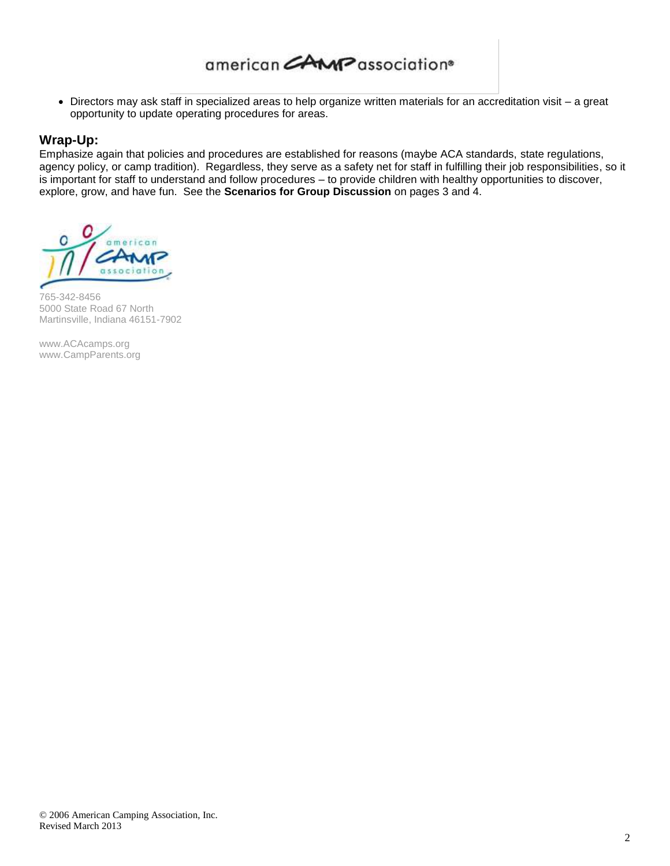Directors may ask staff in specialized areas to help organize written materials for an accreditation visit – a great opportunity to update operating procedures for areas.

#### **Wrap-Up:**

Emphasize again that policies and procedures are established for reasons (maybe ACA standards, state regulations, agency policy, or camp tradition). Regardless, they serve as a safety net for staff in fulfilling their job responsibilities, so it is important for staff to understand and follow procedures – to provide children with healthy opportunities to discover, explore, grow, and have fun. See the **Scenarios for Group Discussion** on pages 3 and 4.



765-342-8456 5000 State Road 67 North Martinsville, Indiana 46151-7902

[www.ACAcamps.org](http://www.acacamps.org/) [www.CampParents.org](http://www.campparents.org/)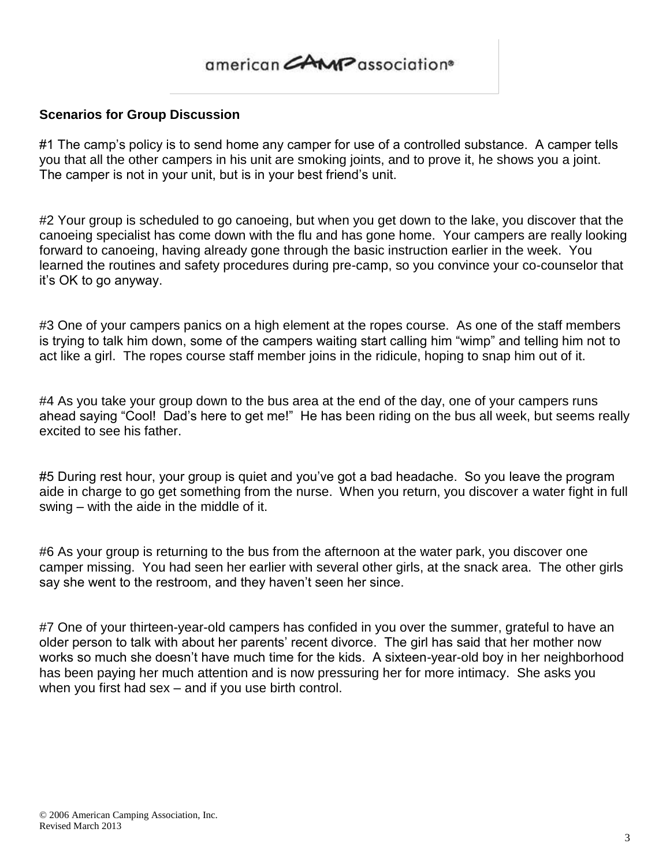#### **Scenarios for Group Discussion**

#1 The camp's policy is to send home any camper for use of a controlled substance. A camper tells you that all the other campers in his unit are smoking joints, and to prove it, he shows you a joint. The camper is not in your unit, but is in your best friend's unit.

#2 Your group is scheduled to go canoeing, but when you get down to the lake, you discover that the canoeing specialist has come down with the flu and has gone home. Your campers are really looking forward to canoeing, having already gone through the basic instruction earlier in the week. You learned the routines and safety procedures during pre-camp, so you convince your co-counselor that it's OK to go anyway.

#3 One of your campers panics on a high element at the ropes course. As one of the staff members is trying to talk him down, some of the campers waiting start calling him "wimp" and telling him not to act like a girl. The ropes course staff member joins in the ridicule, hoping to snap him out of it.

#4 As you take your group down to the bus area at the end of the day, one of your campers runs ahead saying "Cool! Dad's here to get me!" He has been riding on the bus all week, but seems really excited to see his father.

#5 During rest hour, your group is quiet and you've got a bad headache. So you leave the program aide in charge to go get something from the nurse. When you return, you discover a water fight in full swing – with the aide in the middle of it.

#6 As your group is returning to the bus from the afternoon at the water park, you discover one camper missing. You had seen her earlier with several other girls, at the snack area. The other girls say she went to the restroom, and they haven't seen her since.

#7 One of your thirteen-year-old campers has confided in you over the summer, grateful to have an older person to talk with about her parents' recent divorce. The girl has said that her mother now works so much she doesn't have much time for the kids. A sixteen-year-old boy in her neighborhood has been paying her much attention and is now pressuring her for more intimacy. She asks you when you first had sex – and if you use birth control.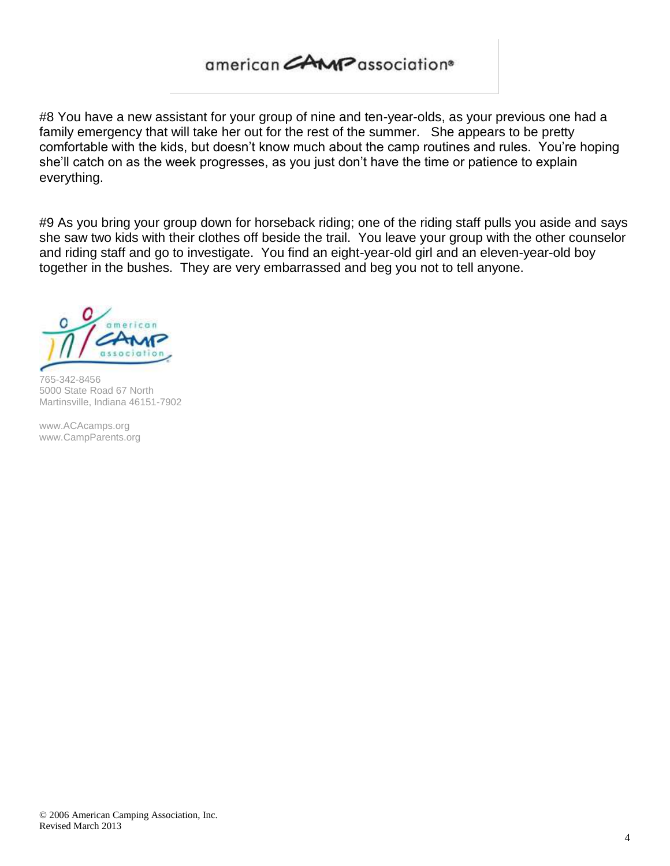#8 You have a new assistant for your group of nine and ten-year-olds, as your previous one had a family emergency that will take her out for the rest of the summer. She appears to be pretty comfortable with the kids, but doesn't know much about the camp routines and rules. You're hoping she'll catch on as the week progresses, as you just don't have the time or patience to explain everything.

#9 As you bring your group down for horseback riding; one of the riding staff pulls you aside and says she saw two kids with their clothes off beside the trail. You leave your group with the other counselor and riding staff and go to investigate. You find an eight-year-old girl and an eleven-year-old boy together in the bushes. They are very embarrassed and beg you not to tell anyone.



765-342-8456 5000 State Road 67 North Martinsville, Indiana 46151-7902

[www.ACAcamps.org](http://www.acacamps.org/) [www.CampParents.org](http://www.campparents.org/)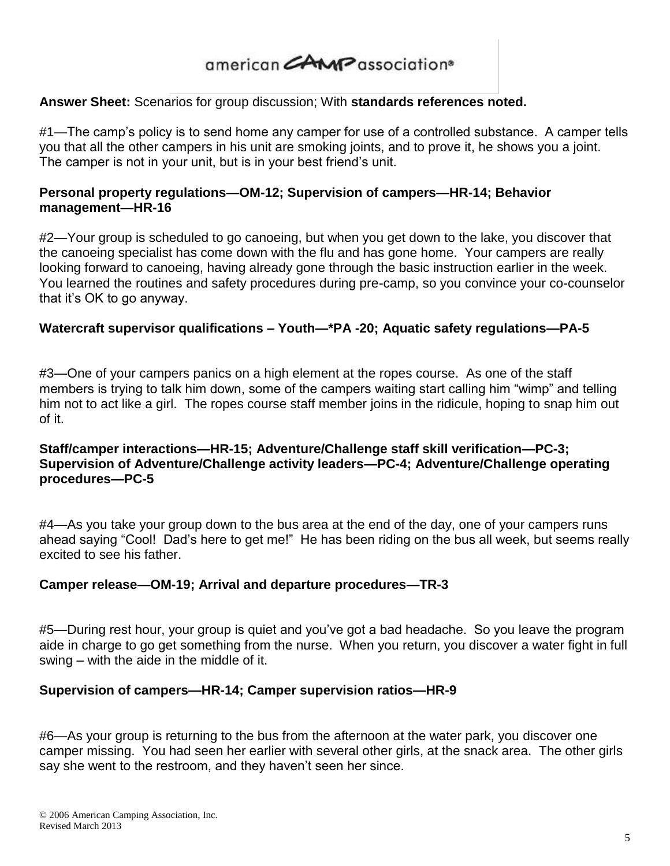### **Answer Sheet:** Scenarios for group discussion; With **standards references noted.**

#1—The camp's policy is to send home any camper for use of a controlled substance. A camper tells you that all the other campers in his unit are smoking joints, and to prove it, he shows you a joint. The camper is not in your unit, but is in your best friend's unit.

### **Personal property regulations—OM-12; Supervision of campers—HR-14; Behavior management—HR-16**

#2—Your group is scheduled to go canoeing, but when you get down to the lake, you discover that the canoeing specialist has come down with the flu and has gone home. Your campers are really looking forward to canoeing, having already gone through the basic instruction earlier in the week. You learned the routines and safety procedures during pre-camp, so you convince your co-counselor that it's OK to go anyway.

### **Watercraft supervisor qualifications – Youth—\*PA -20; Aquatic safety regulations—PA-5**

#3—One of your campers panics on a high element at the ropes course. As one of the staff members is trying to talk him down, some of the campers waiting start calling him "wimp" and telling him not to act like a girl. The ropes course staff member joins in the ridicule, hoping to snap him out of it.

### **Staff/camper interactions—HR-15; Adventure/Challenge staff skill verification—PC-3; Supervision of Adventure/Challenge activity leaders—PC-4; Adventure/Challenge operating procedures—PC-5**

#4—As you take your group down to the bus area at the end of the day, one of your campers runs ahead saying "Cool! Dad's here to get me!" He has been riding on the bus all week, but seems really excited to see his father.

#### **Camper release—OM-19; Arrival and departure procedures—TR-3**

#5—During rest hour, your group is quiet and you've got a bad headache. So you leave the program aide in charge to go get something from the nurse. When you return, you discover a water fight in full swing – with the aide in the middle of it.

#### **Supervision of campers—HR-14; Camper supervision ratios—HR-9**

#6—As your group is returning to the bus from the afternoon at the water park, you discover one camper missing. You had seen her earlier with several other girls, at the snack area. The other girls say she went to the restroom, and they haven't seen her since.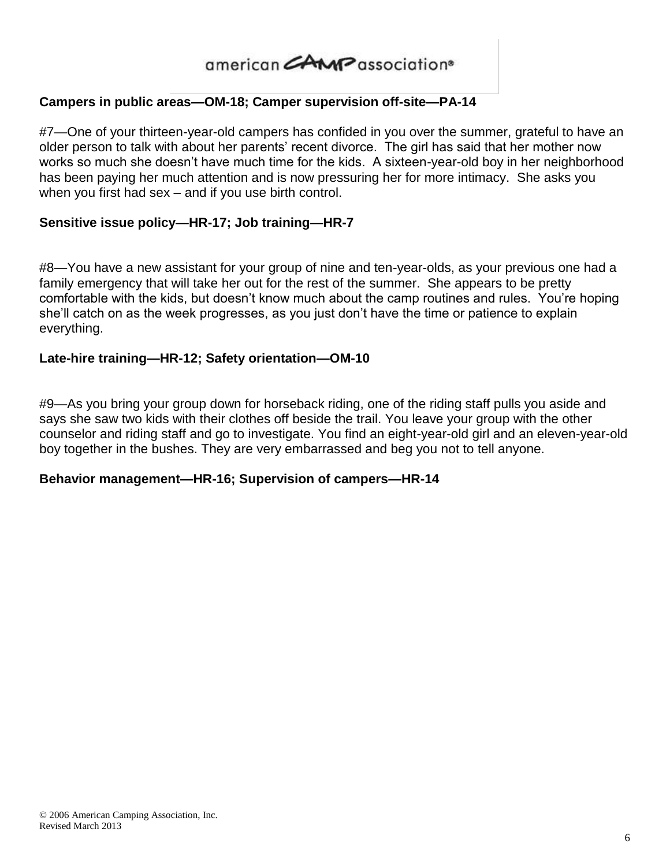## **Campers in public areas—OM-18; Camper supervision off-site—PA-14**

#7—One of your thirteen-year-old campers has confided in you over the summer, grateful to have an older person to talk with about her parents' recent divorce. The girl has said that her mother now works so much she doesn't have much time for the kids. A sixteen-year-old boy in her neighborhood has been paying her much attention and is now pressuring her for more intimacy. She asks you when you first had sex – and if you use birth control.

### **Sensitive issue policy—HR-17; Job training—HR-7**

#8—You have a new assistant for your group of nine and ten-year-olds, as your previous one had a family emergency that will take her out for the rest of the summer. She appears to be pretty comfortable with the kids, but doesn't know much about the camp routines and rules. You're hoping she'll catch on as the week progresses, as you just don't have the time or patience to explain everything.

### **Late-hire training—HR-12; Safety orientation—OM-10**

#9—As you bring your group down for horseback riding, one of the riding staff pulls you aside and says she saw two kids with their clothes off beside the trail. You leave your group with the other counselor and riding staff and go to investigate. You find an eight-year-old girl and an eleven-year-old boy together in the bushes. They are very embarrassed and beg you not to tell anyone.

### **Behavior management—HR-16; Supervision of campers—HR-14**